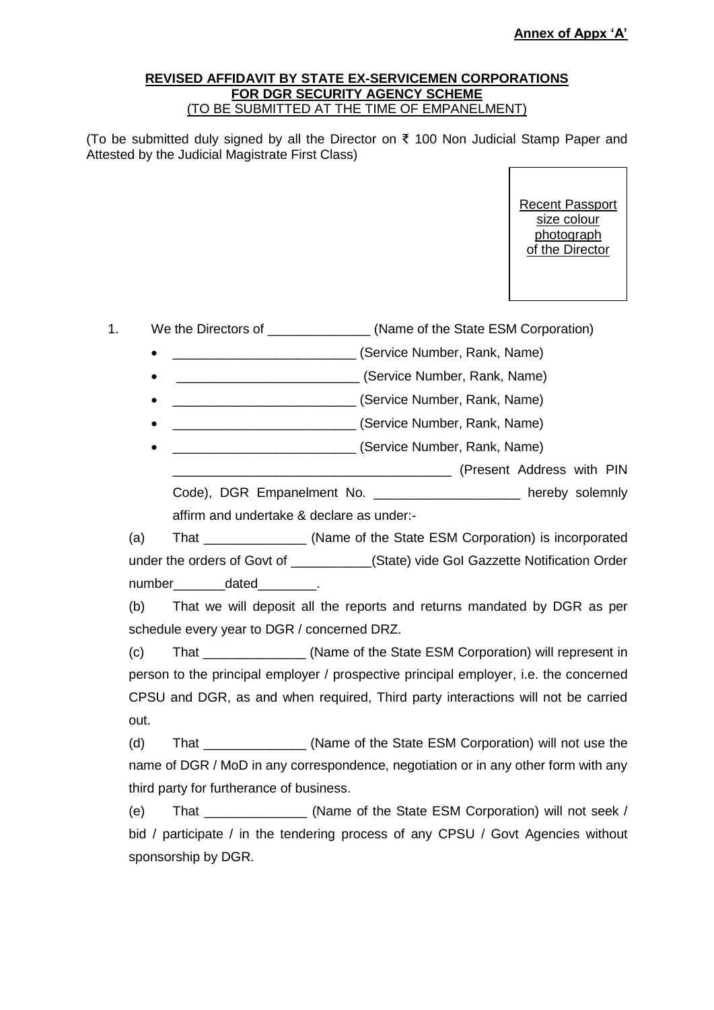## **REVISED AFFIDAVIT BY STATE EX-SERVICEMEN CORPORATIONS FOR DGR SECURITY AGENCY SCHEME** (TO BE SUBMITTED AT THE TIME OF EMPANELMENT)

(To be submitted duly signed by all the Director on ₹ 100 Non Judicial Stamp Paper and Attested by the Judicial Magistrate First Class)

> Recent Passport size colour photograph of the Director

1. We the Directors of \_\_\_\_\_\_\_\_\_\_\_\_\_\_\_ (Name of the State ESM Corporation)

\_\_\_\_\_\_\_\_\_\_\_\_\_\_\_\_\_\_\_\_\_\_\_\_\_ (Service Number, Rank, Name)

\_\_\_\_\_\_\_\_\_\_\_\_\_\_\_\_\_\_\_\_\_\_\_\_\_ (Service Number, Rank, Name)

\_\_\_\_\_\_\_\_\_\_\_\_\_\_\_\_\_\_\_\_\_\_\_\_\_ (Service Number, Rank, Name)

\_\_\_\_\_\_\_\_\_\_\_\_\_\_\_\_\_\_\_\_\_\_\_\_\_ (Service Number, Rank, Name)

\_\_\_\_\_\_\_\_\_\_\_\_\_\_\_\_\_\_\_\_\_\_\_\_\_ (Service Number, Rank, Name)

\_\_\_\_\_\_\_\_\_\_\_\_\_\_\_\_\_\_\_\_\_\_\_\_\_\_\_\_\_\_\_\_\_\_\_\_\_\_ (Present Address with PIN

Code), DGR Empanelment No. **Example 19** hereby solemnly affirm and undertake & declare as under:-

(a) That \_\_\_\_\_\_\_\_\_\_\_\_\_\_ (Name of the State ESM Corporation) is incorporated under the orders of Govt of **Example 2018** (State) vide GoI Gazzette Notification Order number dated .

(b) That we will deposit all the reports and returns mandated by DGR as per schedule every year to DGR / concerned DRZ.

(c) That \_\_\_\_\_\_\_\_\_\_\_\_\_\_ (Name of the State ESM Corporation) will represent in person to the principal employer / prospective principal employer, i.e. the concerned CPSU and DGR, as and when required, Third party interactions will not be carried out.

(d) That  $(Na$  (Name of the State ESM Corporation) will not use the name of DGR / MoD in any correspondence, negotiation or in any other form with any third party for furtherance of business.

(e) That \_\_\_\_\_\_\_\_\_\_\_\_\_\_ (Name of the State ESM Corporation) will not seek / bid / participate / in the tendering process of any CPSU / Govt Agencies without sponsorship by DGR.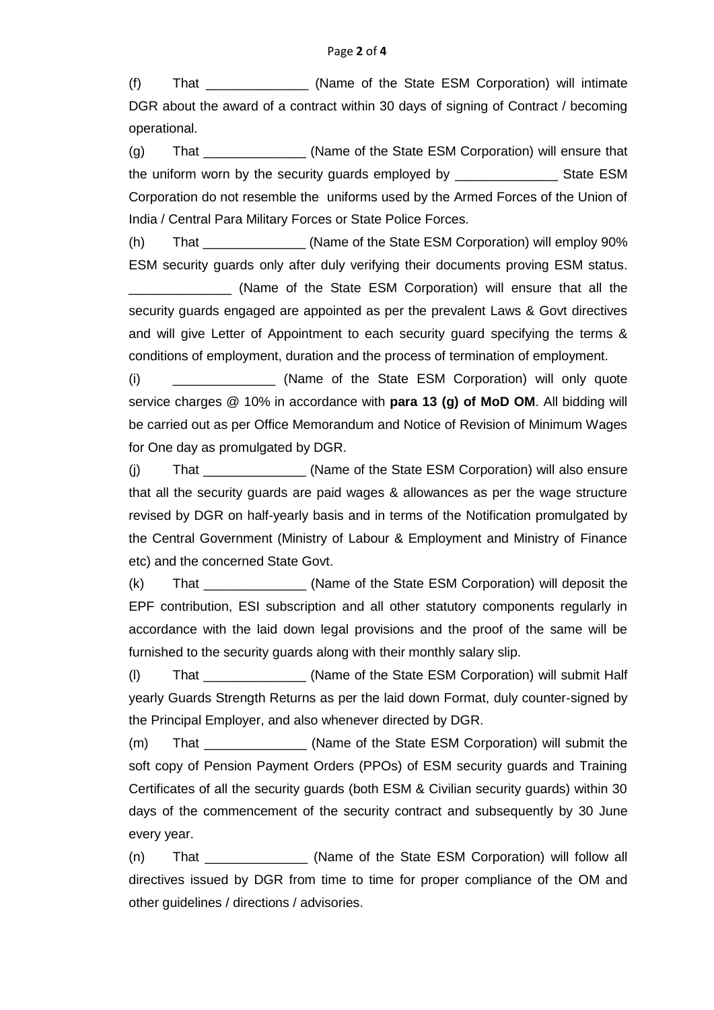(f) That \_\_\_\_\_\_\_\_\_\_\_\_\_\_ (Name of the State ESM Corporation) will intimate DGR about the award of a contract within 30 days of signing of Contract / becoming operational.

(g) That  $(1)$  That  $(2)$  (Name of the State ESM Corporation) will ensure that the uniform worn by the security guards employed by State ESM Corporation do not resemble the uniforms used by the Armed Forces of the Union of India / Central Para Military Forces or State Police Forces.

(h) That \_\_\_\_\_\_\_\_\_\_\_\_\_\_ (Name of the State ESM Corporation) will employ 90% ESM security guards only after duly verifying their documents proving ESM status.

(Name of the State ESM Corporation) will ensure that all the security guards engaged are appointed as per the prevalent Laws & Govt directives and will give Letter of Appointment to each security guard specifying the terms & conditions of employment, duration and the process of termination of employment.

(i) (i) (Name of the State ESM Corporation) will only quote service charges @ 10% in accordance with **para 13 (g) of MoD OM**. All bidding will be carried out as per Office Memorandum and Notice of Revision of Minimum Wages for One day as promulgated by DGR.

(i) That  $\qquad \qquad$  (Name of the State ESM Corporation) will also ensure that all the security guards are paid wages & allowances as per the wage structure revised by DGR on half-yearly basis and in terms of the Notification promulgated by the Central Government (Ministry of Labour & Employment and Ministry of Finance etc) and the concerned State Govt.

(k) That \_\_\_\_\_\_\_\_\_\_\_\_\_\_ (Name of the State ESM Corporation) will deposit the EPF contribution, ESI subscription and all other statutory components regularly in accordance with the laid down legal provisions and the proof of the same will be furnished to the security guards along with their monthly salary slip.

(l) That \_\_\_\_\_\_\_\_\_\_\_\_\_\_ (Name of the State ESM Corporation) will submit Half yearly Guards Strength Returns as per the laid down Format, duly counter-signed by the Principal Employer, and also whenever directed by DGR.

(m) That  $\qquad \qquad$  (Name of the State ESM Corporation) will submit the soft copy of Pension Payment Orders (PPOs) of ESM security guards and Training Certificates of all the security guards (both ESM & Civilian security guards) within 30 days of the commencement of the security contract and subsequently by 30 June every year.

(n) That \_\_\_\_\_\_\_\_\_\_\_\_\_\_ (Name of the State ESM Corporation) will follow all directives issued by DGR from time to time for proper compliance of the OM and other guidelines / directions / advisories.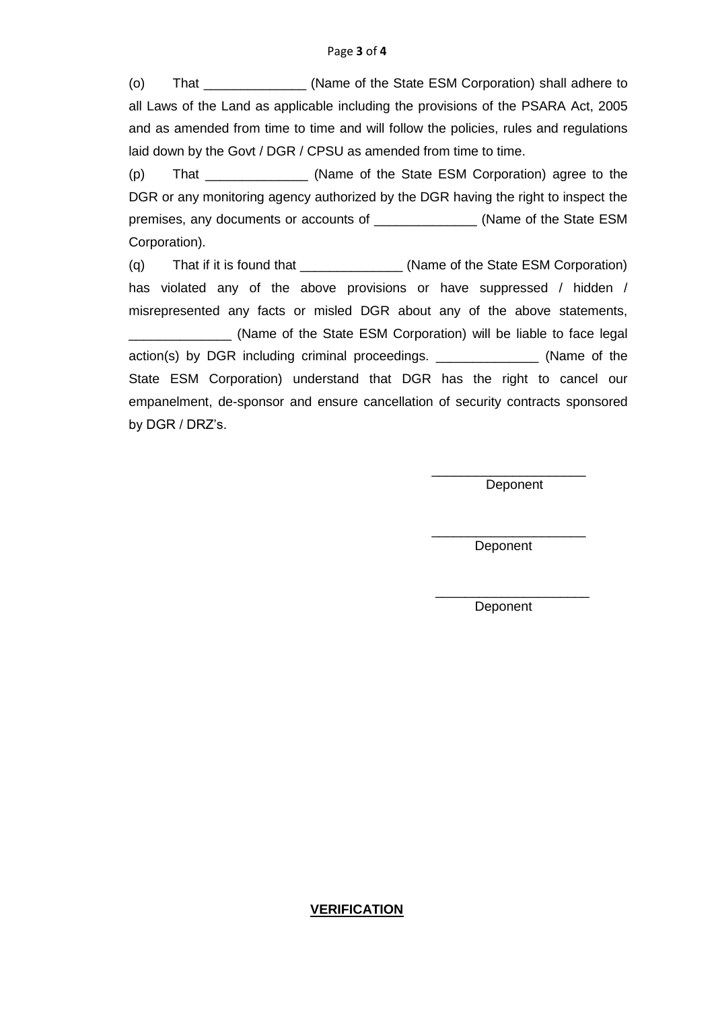(o) That \_\_\_\_\_\_\_\_\_\_\_\_\_\_ (Name of the State ESM Corporation) shall adhere to all Laws of the Land as applicable including the provisions of the PSARA Act, 2005 and as amended from time to time and will follow the policies, rules and regulations laid down by the Govt / DGR / CPSU as amended from time to time.

(p) That \_\_\_\_\_\_\_\_\_\_\_\_\_\_ (Name of the State ESM Corporation) agree to the DGR or any monitoring agency authorized by the DGR having the right to inspect the premises, any documents or accounts of \_\_\_\_\_\_\_\_\_\_\_\_\_\_ (Name of the State ESM Corporation).

(q) That if it is found that \_\_\_\_\_\_\_\_\_\_\_\_\_\_ (Name of the State ESM Corporation) has violated any of the above provisions or have suppressed / hidden / misrepresented any facts or misled DGR about any of the above statements, \_\_\_\_\_\_\_\_\_\_\_\_\_\_ (Name of the State ESM Corporation) will be liable to face legal action(s) by DGR including criminal proceedings. \_\_\_\_\_\_\_\_\_\_\_\_\_\_ (Name of the State ESM Corporation) understand that DGR has the right to cancel our empanelment, de-sponsor and ensure cancellation of security contracts sponsored by DGR / DRZ's.

> \_\_\_\_\_\_\_\_\_\_\_\_\_\_\_\_\_\_\_\_\_ Deponent

> \_\_\_\_\_\_\_\_\_\_\_\_\_\_\_\_\_\_\_\_\_ Deponent

\_\_\_\_\_\_\_\_\_\_\_\_\_\_\_\_\_\_\_\_\_ Deponent

## **VERIFICATION**